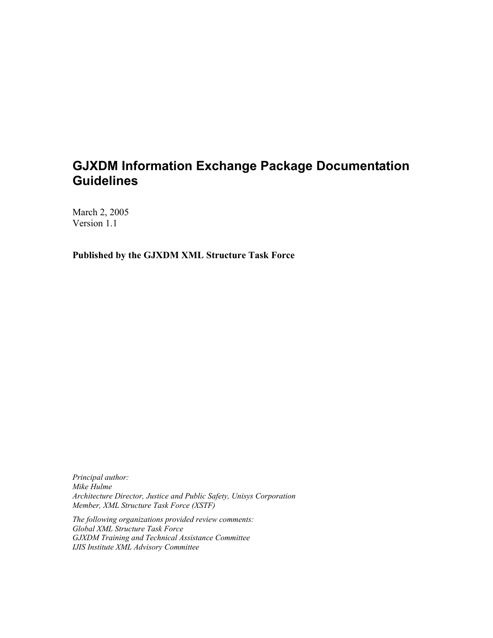## **GJXDM Information Exchange Package Documentation Guidelines**

March 2, 2005 Version 1.1

**Published by the GJXDM XML Structure Task Force**

*Principal author: Mike Hulme Architecture Director, Justice and Public Safety, Unisys Corporation Member, XML Structure Task Force (XSTF)*

*The following organizations provided review comments: Global XML Structure Task Force GJXDM Training and Technical Assistance Committee IJIS Institute XML Advisory Committee*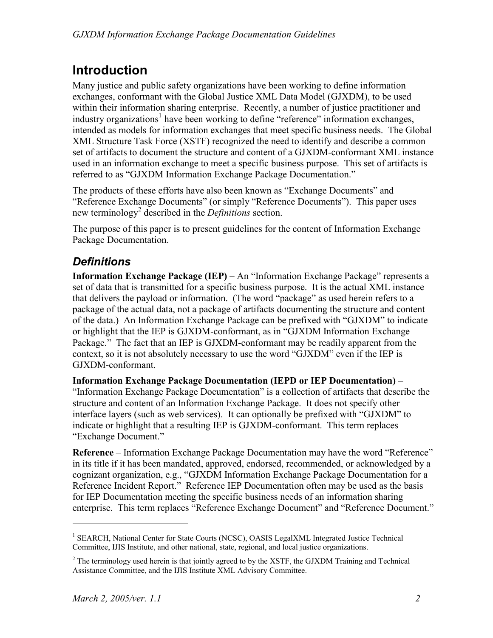# **Introduction**

Many justice and public safety organizations have been working to define information exchanges, conformant with the Global Justice XML Data Model (GJXDM), to be used within their information sharing enterprise. Recently, a number of justice practitioner and industry organizations<sup>1</sup> have been working to define "reference" information exchanges, intended as models for information exchanges that meet specific business needs. The Global XML Structure Task Force (XSTF) recognized the need to identify and describe a common set of artifacts to document the structure and content of a GJXDM-conformant XML instance used in an information exchange to meet a specific business purpose. This set of artifacts is referred to as "GJXDM Information Exchange Package Documentation."

The products of these efforts have also been known as "Exchange Documents" and "Reference Exchange Documents" (or simply "Reference Documents"). This paper uses new terminology<sup>2</sup> described in the *Definitions* section.

The purpose of this paper is to present guidelines for the content of Information Exchange Package Documentation.

### *Definitions*

**Information Exchange Package (IEP)** – An "Information Exchange Package" represents a set of data that is transmitted for a specific business purpose. It is the actual XML instance that delivers the payload or information. (The word "package" as used herein refers to a package of the actual data, not a package of artifacts documenting the structure and content of the data.) An Information Exchange Package can be prefixed with "GJXDM" to indicate or highlight that the IEP is GJXDM-conformant, as in "GJXDM Information Exchange Package." The fact that an IEP is GJXDM-conformant may be readily apparent from the context, so it is not absolutely necessary to use the word "GJXDM" even if the IEP is GJXDM-conformant.

**Information Exchange Package Documentation (IEPD or IEP Documentation)** – "Information Exchange Package Documentation" is a collection of artifacts that describe the structure and content of an Information Exchange Package. It does not specify other interface layers (such as web services). It can optionally be prefixed with "GJXDM" to indicate or highlight that a resulting IEP is GJXDM-conformant. This term replaces "Exchange Document."

**Reference** – Information Exchange Package Documentation may have the word "Reference" in its title if it has been mandated, approved, endorsed, recommended, or acknowledged by a cognizant organization, e.g., "GJXDM Information Exchange Package Documentation for a Reference Incident Report." Reference IEP Documentation often may be used as the basis for IEP Documentation meeting the specific business needs of an information sharing enterprise. This term replaces "Reference Exchange Document" and "Reference Document."

 $\overline{a}$ 

<sup>&</sup>lt;sup>1</sup> SEARCH, National Center for State Courts (NCSC), OASIS LegalXML Integrated Justice Technical Committee, IJIS Institute, and other national, state, regional, and local justice organizations.

 $2^2$  The terminology used herein is that jointly agreed to by the XSTF, the GJXDM Training and Technical Assistance Committee, and the IJIS Institute XML Advisory Committee.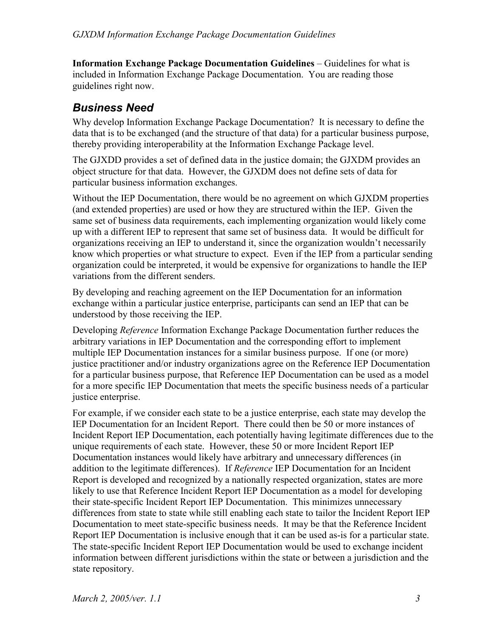**Information Exchange Package Documentation Guidelines** – Guidelines for what is included in Information Exchange Package Documentation. You are reading those guidelines right now.

#### *Business Need*

Why develop Information Exchange Package Documentation? It is necessary to define the data that is to be exchanged (and the structure of that data) for a particular business purpose, thereby providing interoperability at the Information Exchange Package level.

The GJXDD provides a set of defined data in the justice domain; the GJXDM provides an object structure for that data. However, the GJXDM does not define sets of data for particular business information exchanges.

Without the IEP Documentation, there would be no agreement on which GJXDM properties (and extended properties) are used or how they are structured within the IEP. Given the same set of business data requirements, each implementing organization would likely come up with a different IEP to represent that same set of business data. It would be difficult for organizations receiving an IEP to understand it, since the organization wouldn't necessarily know which properties or what structure to expect. Even if the IEP from a particular sending organization could be interpreted, it would be expensive for organizations to handle the IEP variations from the different senders.

By developing and reaching agreement on the IEP Documentation for an information exchange within a particular justice enterprise, participants can send an IEP that can be understood by those receiving the IEP.

Developing *Reference* Information Exchange Package Documentation further reduces the arbitrary variations in IEP Documentation and the corresponding effort to implement multiple IEP Documentation instances for a similar business purpose. If one (or more) justice practitioner and/or industry organizations agree on the Reference IEP Documentation for a particular business purpose, that Reference IEP Documentation can be used as a model for a more specific IEP Documentation that meets the specific business needs of a particular justice enterprise.

For example, if we consider each state to be a justice enterprise, each state may develop the IEP Documentation for an Incident Report. There could then be 50 or more instances of Incident Report IEP Documentation, each potentially having legitimate differences due to the unique requirements of each state. However, these 50 or more Incident Report IEP Documentation instances would likely have arbitrary and unnecessary differences (in addition to the legitimate differences). If *Reference* IEP Documentation for an Incident Report is developed and recognized by a nationally respected organization, states are more likely to use that Reference Incident Report IEP Documentation as a model for developing their state-specific Incident Report IEP Documentation. This minimizes unnecessary differences from state to state while still enabling each state to tailor the Incident Report IEP Documentation to meet state-specific business needs. It may be that the Reference Incident Report IEP Documentation is inclusive enough that it can be used as-is for a particular state. The state-specific Incident Report IEP Documentation would be used to exchange incident information between different jurisdictions within the state or between a jurisdiction and the state repository.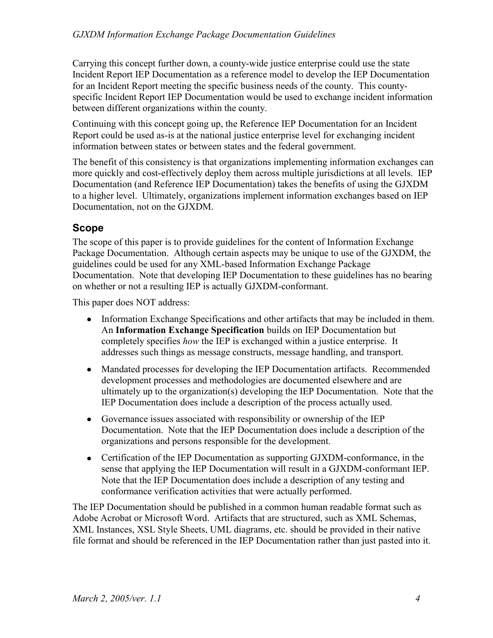Carrying this concept further down, a county-wide justice enterprise could use the state Incident Report IEP Documentation as a reference model to develop the IEP Documentation for an Incident Report meeting the specific business needs of the county. This countyspecific Incident Report IEP Documentation would be used to exchange incident information between different organizations within the county.

Continuing with this concept going up, the Reference IEP Documentation for an Incident Report could be used as-is at the national justice enterprise level for exchanging incident information between states or between states and the federal government.

The benefit of this consistency is that organizations implementing information exchanges can more quickly and cost-effectively deploy them across multiple jurisdictions at all levels. IEP Documentation (and Reference IEP Documentation) takes the benefits of using the GJXDM to a higher level. Ultimately, organizations implement information exchanges based on IEP Documentation, not on the GJXDM.

#### **Scope**

The scope of this paper is to provide guidelines for the content of Information Exchange Package Documentation. Although certain aspects may be unique to use of the GJXDM, the guidelines could be used for any XML-based Information Exchange Package Documentation. Note that developing IEP Documentation to these guidelines has no bearing on whether or not a resulting IEP is actually GJXDM-conformant.

This paper does NOT address:

- Information Exchange Specifications and other artifacts that may be included in them. An **Information Exchange Specification** builds on IEP Documentation but completely specifies *how* the IEP is exchanged within a justice enterprise. It addresses such things as message constructs, message handling, and transport.
- Mandated processes for developing the IEP Documentation artifacts. Recommended development processes and methodologies are documented elsewhere and are ultimately up to the organization(s) developing the IEP Documentation. Note that the IEP Documentation does include a description of the process actually used.
- Governance issues associated with responsibility or ownership of the IEP Documentation. Note that the IEP Documentation does include a description of the organizations and persons responsible for the development.
- Certification of the IEP Documentation as supporting GJXDM-conformance, in the sense that applying the IEP Documentation will result in a GJXDM-conformant IEP. Note that the IEP Documentation does include a description of any testing and conformance verification activities that were actually performed.

The IEP Documentation should be published in a common human readable format such as Adobe Acrobat or Microsoft Word. Artifacts that are structured, such as XML Schemas, XML Instances, XSL Style Sheets, UML diagrams, etc. should be provided in their native file format and should be referenced in the IEP Documentation rather than just pasted into it.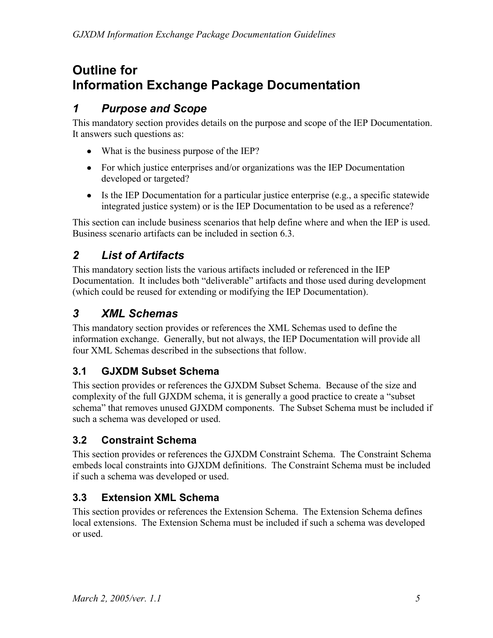# **Outline for Information Exchange Package Documentation**

### *1 Purpose and Scope*

This mandatory section provides details on the purpose and scope of the IEP Documentation. It answers such questions as:

- What is the business purpose of the IEP?
- For which justice enterprises and/or organizations was the IEP Documentation developed or targeted?
- $\bullet$  Is the IEP Documentation for a particular justice enterprise (e.g., a specific statewide integrated justice system) or is the IEP Documentation to be used as a reference?

This section can include business scenarios that help define where and when the IEP is used. Business scenario artifacts can be included in section 6.3.

### *2 List of Artifacts*

This mandatory section lists the various artifacts included or referenced in the IEP Documentation. It includes both "deliverable" artifacts and those used during development (which could be reused for extending or modifying the IEP Documentation).

### *3 XML Schemas*

This mandatory section provides or references the XML Schemas used to define the information exchange. Generally, but not always, the IEP Documentation will provide all four XML Schemas described in the subsections that follow.

#### **3.1 GJXDM Subset Schema**

This section provides or references the GJXDM Subset Schema. Because of the size and complexity of the full GJXDM schema, it is generally a good practice to create a "subset schema" that removes unused GJXDM components. The Subset Schema must be included if such a schema was developed or used.

#### **3.2 Constraint Schema**

This section provides or references the GJXDM Constraint Schema. The Constraint Schema embeds local constraints into GJXDM definitions. The Constraint Schema must be included if such a schema was developed or used.

#### **3.3 Extension XML Schema**

This section provides or references the Extension Schema. The Extension Schema defines local extensions. The Extension Schema must be included if such a schema was developed or used.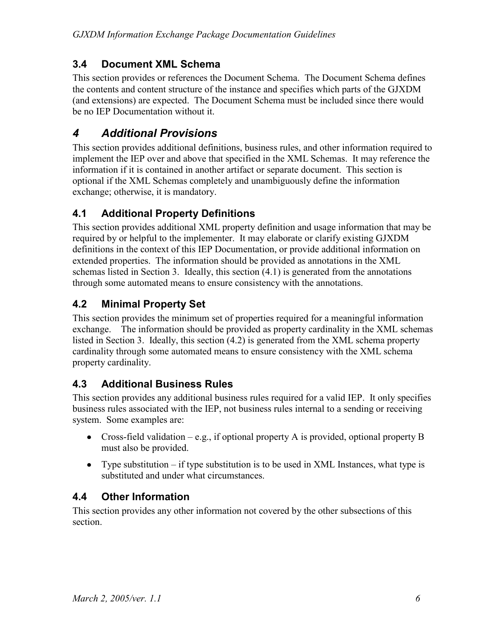#### **3.4 Document XML Schema**

This section provides or references the Document Schema. The Document Schema defines the contents and content structure of the instance and specifies which parts of the GJXDM (and extensions) are expected. The Document Schema must be included since there would be no IEP Documentation without it.

### *4 Additional Provisions*

This section provides additional definitions, business rules, and other information required to implement the IEP over and above that specified in the XML Schemas. It may reference the information if it is contained in another artifact or separate document. This section is optional if the XML Schemas completely and unambiguously define the information exchange; otherwise, it is mandatory.

#### **4.1 Additional Property Definitions**

This section provides additional XML property definition and usage information that may be required by or helpful to the implementer. It may elaborate or clarify existing GJXDM definitions in the context of this IEP Documentation, or provide additional information on extended properties. The information should be provided as annotations in the XML schemas listed in Section 3. Ideally, this section (4.1) is generated from the annotations through some automated means to ensure consistency with the annotations.

#### **4.2 Minimal Property Set**

This section provides the minimum set of properties required for a meaningful information exchange. The information should be provided as property cardinality in the XML schemas listed in Section 3. Ideally, this section (4.2) is generated from the XML schema property cardinality through some automated means to ensure consistency with the XML schema property cardinality.

#### **4.3 Additional Business Rules**

This section provides any additional business rules required for a valid IEP. It only specifies business rules associated with the IEP, not business rules internal to a sending or receiving system. Some examples are:

- Cross-field validation e.g., if optional property A is provided, optional property B must also be provided.
- Type substitution  $-$  if type substitution is to be used in XML Instances, what type is substituted and under what circumstances.

#### **4.4 Other Information**

This section provides any other information not covered by the other subsections of this section.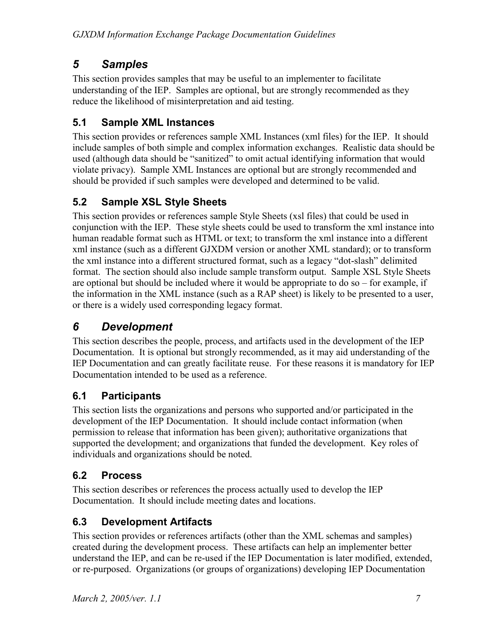### *5 Samples*

This section provides samples that may be useful to an implementer to facilitate understanding of the IEP. Samples are optional, but are strongly recommended as they reduce the likelihood of misinterpretation and aid testing.

### **5.1 Sample XML Instances**

This section provides or references sample XML Instances (xml files) for the IEP. It should include samples of both simple and complex information exchanges. Realistic data should be used (although data should be "sanitized" to omit actual identifying information that would violate privacy). Sample XML Instances are optional but are strongly recommended and should be provided if such samples were developed and determined to be valid.

#### **5.2 Sample XSL Style Sheets**

This section provides or references sample Style Sheets (xsl files) that could be used in conjunction with the IEP. These style sheets could be used to transform the xml instance into human readable format such as HTML or text; to transform the xml instance into a different xml instance (such as a different GJXDM version or another XML standard); or to transform the xml instance into a different structured format, such as a legacy "dot-slash" delimited format. The section should also include sample transform output. Sample XSL Style Sheets are optional but should be included where it would be appropriate to do so – for example, if the information in the XML instance (such as a RAP sheet) is likely to be presented to a user, or there is a widely used corresponding legacy format.

## *6 Development*

This section describes the people, process, and artifacts used in the development of the IEP Documentation. It is optional but strongly recommended, as it may aid understanding of the IEP Documentation and can greatly facilitate reuse. For these reasons it is mandatory for IEP Documentation intended to be used as a reference.

#### **6.1 Participants**

This section lists the organizations and persons who supported and/or participated in the development of the IEP Documentation. It should include contact information (when permission to release that information has been given); authoritative organizations that supported the development; and organizations that funded the development. Key roles of individuals and organizations should be noted.

#### **6.2 Process**

This section describes or references the process actually used to develop the IEP Documentation. It should include meeting dates and locations.

#### **6.3 Development Artifacts**

This section provides or references artifacts (other than the XML schemas and samples) created during the development process. These artifacts can help an implementer better understand the IEP, and can be re-used if the IEP Documentation is later modified, extended, or re-purposed. Organizations (or groups of organizations) developing IEP Documentation